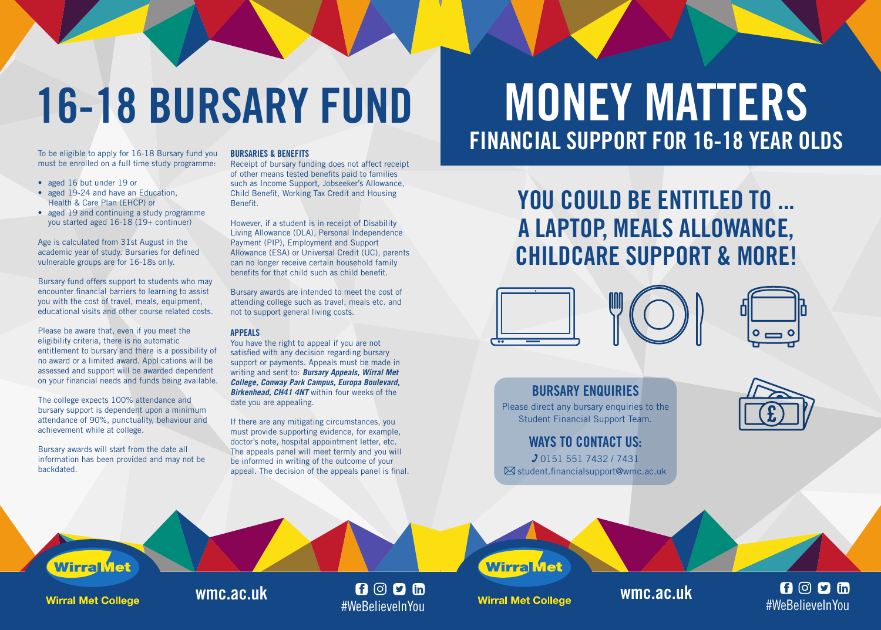# **16-18 BURSARY FUND**

To be eligible to apply for 16-18 Bursary fund you must be enrolled on a full time study programme:

- aged 16 but under 19 or
- aged 19-24 and have an Education. Health & Care Plan (EHCP) or
- aged 19 and continuing a study programme you started aged 16-18 (19+ continuer)

Age is calculated from 31st August in the academic year of study. Bursaries for defined vulnerable groups are for 16-18s only.

Bursary fund offers support to students who may encounter financial barriers to learning to assist you with the cost of travel, meals, equipment, educational visits and other course related costs.

Please be aware that, even if you meet the eligibility criteria, there is no automatic entitlement to bursary and there is a possibility of no award or a limited award. Applications will be assessed and support will be awarded dependent on your financial needs and funds being available.

The college expects 100% attendance and bursary support is dependent upon a minimum attendance of 90%, punctuality, behaviour and achievement while at college.

Bursary awards will start from the date all information has been provided and may not be backdated.

### **BURSARIES & BENEFITS**

Receipt of bursary funding does not affect receipt of other means tested benefits paid to families such as Income Support, Jobseeker's Allowance, Child Benefit, Working Tax Credit and Housing Benefit.

However, if a student is in receipt of Disability Living Allowance (DLA), Personal Independence Payment (PIP), Employment and Support Allowance (ESA) or Universal Credit (UC), parents can no longer receive certain household family benefits for that child such as child benefit.

Bursary awards are intended to meet the cost of attending college such as travel, meals etc. and not to support general living costs.

### **APPEALS**

You have the right to appeal if you are not satisfied with any decision regarding bursary support or payments. Appeals must be made in writing and sent to: *Bursary Appeals, Wirral Met College, Conway Park Campus, Europa Boulevard, Birkenhead, CH41 4NT* within four weeks of the date you are appealing.

If there are any mitigating circumstances, you must provide supporting evidence, for example, doctor's note, hospital appointment letter, etc. The appeals panel will meet termly and you will be informed in writing of the outcome of your appeal. The decision of the appeals panel is final.

# **MONEY MATTERS FINANCIAL SUPPORT FOR 16-18 YEAR OLDS**

**YOU COULD BE ENTITLED TO ... A LAPTOP, MEALS ALLOWANCE, CHILDCARE SUPPORT & MORE!**





**BURSARY ENQUIRIES**

Please direct any bursary enquiries to the Student Financial Support Team.

**WAYS TO CONTACT US:**

 0151 551 7432 / 7431  $\boxtimes$  student.financialsupport@wmc.ac.uk



WirralMet

**Wirral Met College** 

**wmc.ac.uk**

 $0$   $0$   $0$   $m$ #WeBelieveInYou

WirralMet

**Wirral Met College** 

**wmc.ac.uk**

 $0000$ #WeBelieveInYou